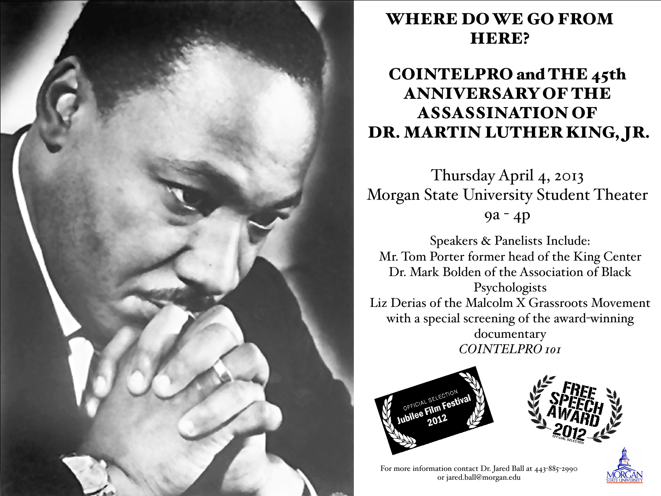

## WHERE DO WE GO FROM HERE?

# COINTELPRO and THE 45th ANNIVERSARY OF THE ASSASSINATION OF DR. MARTIN LUTHER KING, JR.

Thursday April 4, 2013 Morgan State University Student Theater 9a - 4p

Speakers & Panelists Include: Mr. Tom Porter former head of the King Center Dr. Mark Bolden of the Association of Black Psychologists Liz Derias of the Malcolm X Grassroots Movement with a special screening of the award-winning documentary *COINTELPRO 101*





For more information contact Dr. Jared Ball at 443-885-2990 or jared.ball@morgan.edu

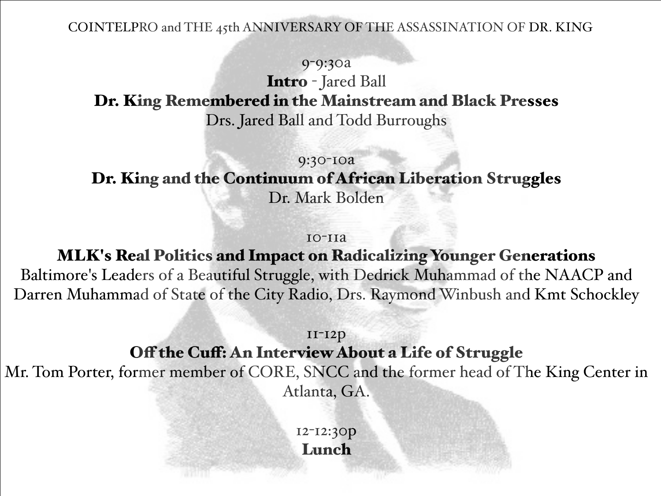COINTELPRO and THE 45th ANNIVERSARY OF THE ASSASSINATION OF DR. KING

#### 9-9:30a

Intro - Jared Ball

Dr. King Remembered in the Mainstream and Black Presses

Drs. Jared Ball and Todd Burroughs

### 9:30-10a Dr. King and the Continuum of African Liberation Struggles Dr. Mark Bolden

#### 10-11a

MLK's Real Politics and Impact on Radicalizing Younger Generations Baltimore's Leaders of a Beautiful Struggle, with Dedrick Muhammad of the NAACP and Darren Muhammad of State of the City Radio, Drs. Raymond Winbush and Kmt Schockley

### 11-12p

### Off the Cuff: An Interview About a Life of Struggle

Mr. Tom Porter, former member of CORE, SNCC and the former head of The King Center in Atlanta, GA.

> 12-12:30p Lunch